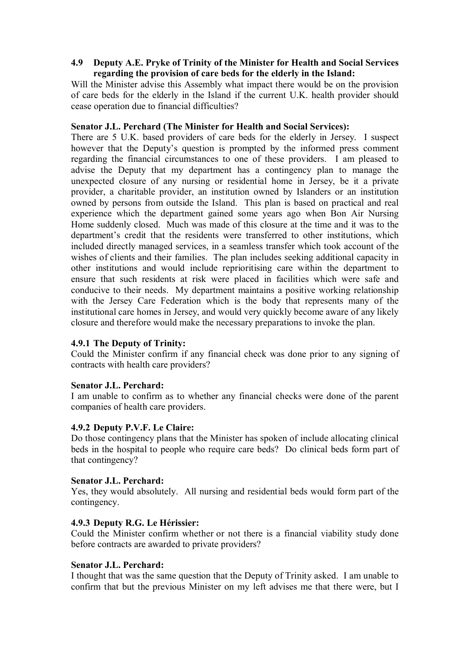## **4.9** � **Deputy A.E. Pryke of Trinity of the Minister for Health and Social Services regarding the provision of care beds for the elderly in the Island:**

Will the Minister advise this Assembly what impact there would be on the provision of care beds for the elderly in the Island if the current U.K. health provider should cease operation due to financial difficulties?

# **Senator J.L. Perchard (The Minister for Health and Social Services):**

There are 5 U.K. based providers of care beds for the elderly in Jersey. I suspect however that the Deputy's question is prompted by the informed press comment regarding the financial circumstances to one of these providers. I am pleased to advise the Deputy that my department has a contingency plan to manage the unexpected closure of any nursing or residential home in Jersey, be it a private provider, a charitable provider, an institution owned by Islanders or an institution owned by persons from outside the Island. This plan is based on practical and real experience which the department gained some years ago when Bon Air Nursing Home suddenly closed. Much was made of this closure at the time and it was to the department's credit that the residents were transferred to other institutions, which included directly managed services, in a seamless transfer which took account of the wishes of clients and their families. The plan includes seeking additional capacity in other institutions and would include reprioritising care within the department to ensure that such residents at risk were placed in facilities which were safe and conducive to their needs. My department maintains a positive working relationship with the Jersey Care Federation which is the body that represents many of the institutional care homes in Jersey, and would very quickly become aware of any likely closure and therefore would make the necessary preparations to invoke the plan.

# **4.9.1 The Deputy of Trinity:**

Could the Minister confirm if any financial check was done prior to any signing of contracts with health care providers?

### **Senator J.L. Perchard:**

I am unable to confirm as to whether any financial checks were done of the parent companies of health care providers.

### **4.9.2 Deputy P.V.F. Le Claire:**

Do those contingency plans that the Minister has spoken of include allocating clinical beds in the hospital to people who require care beds? Do clinical beds form part of that contingency?

### **Senator J.L. Perchard:**

Yes, they would absolutely. All nursing and residential beds would form part of the contingency.

# **4.9.3 Deputy R.G. Le Hérissier:**

Could the Minister confirm whether or not there is a financial viability study done before contracts are awarded to private providers?

### **Senator J.L. Perchard:**

I thought that was the same question that the Deputy of Trinity asked. I am unable to confirm that but the previous Minister on my left advises me that there were, but I